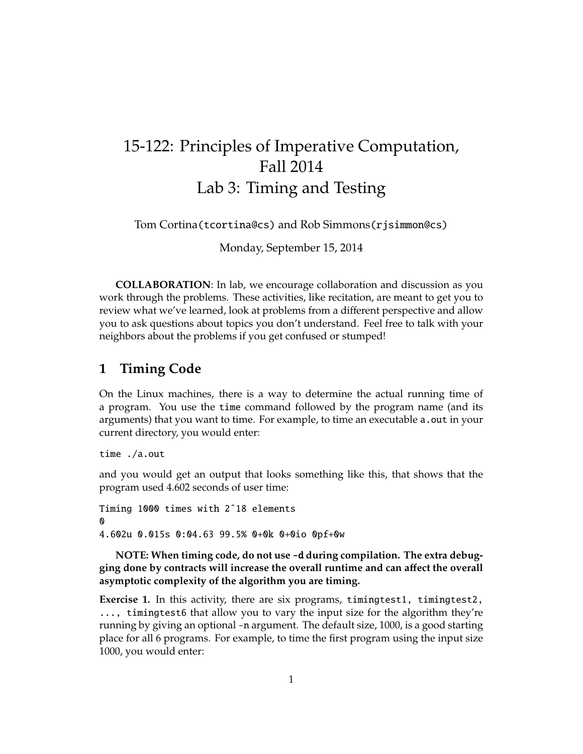## 15-122: Principles of Imperative Computation, Fall 2014 Lab 3: Timing and Testing

Tom Cortina(tcortina@cs) and Rob Simmons(rjsimmon@cs)

Monday, September 15, 2014

**COLLABORATION**: In lab, we encourage collaboration and discussion as you work through the problems. These activities, like recitation, are meant to get you to review what we've learned, look at problems from a different perspective and allow you to ask questions about topics you don't understand. Feel free to talk with your neighbors about the problems if you get confused or stumped!

## **1 Timing Code**

On the Linux machines, there is a way to determine the actual running time of a program. You use the time command followed by the program name (and its arguments) that you want to time. For example, to time an executable a out in your current directory, you would enter:

time ./a.out

and you would get an output that looks something like this, that shows that the program used 4.602 seconds of user time:

Timing 1000 times with 2ˆ18 elements **0** 4.602u 0.015s 0:04.63 99.5% 0+0k 0+0io 0pf+0w

**NOTE: When timing code, do not use** -d **during compilation. The extra debugging done by contracts will increase the overall runtime and can a**ff**ect the overall asymptotic complexity of the algorithm you are timing.**

**Exercise 1.** In this activity, there are six programs, timingtest1, timingtest2, ..., timingtest6 that allow you to vary the input size for the algorithm they're running by giving an optional -n argument. The default size, 1000, is a good starting place for all 6 programs. For example, to time the first program using the input size 1000, you would enter: